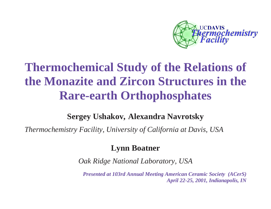

# **Thermochemical Study of the Relations of the Monazite and Zircon Structures in the Rare-earth Orthophosphates**

### **Sergey Ushakov, Alexandra Navrotsky**

*Thermochemistry Facility, University of California at Davis, USA* 

### **Lynn Boatner**

*Oak Ridge National Laboratory, USA* 

*Presented at 103rd Annual Meeting American Ceramic Society (ACerS) April 22-25, 2001, Indianapolis, IN*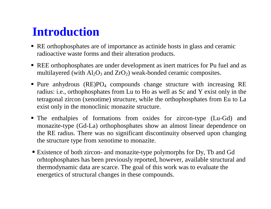## **Introduction**

- RE orthophosphates are of importance as actinide hosts in glass and ceramic radioactive waste forms and their alteration products.
- REE orthophosphates are under development as inert matrices for Pu fuel and as multilayered (with  $Al_2O_3$  and  $ZrO_2$ ) weak-bonded ceramic composites.
- **Pure anhydrous (RE)PO<sub>4</sub> compounds change structure with increasing RE** radius: i.e., orthophosphates from Lu to Ho as well as Sc and Y exist only in the tetragonal zircon (xenotime) structure, while the orthophosphates from Eu to La exist only in the monoclinic monazite structure.
- The enthalpies of formations from oxides for zircon-type (Lu-Gd) and monazite-type (Gd-La) orthophosphates show an almost linear dependence on the RE radius. There was no significant discontinuity observed upon changing the structure type from xenotime to monazite.
- Existence of both zircon- and monazite-type polymorphs for Dy, Tb and Gd orhtophosphates has been previously reported, however, available structural and thermodynamic data are scarce. The goal of this work was to evaluate the energetics of structural changes in these compounds.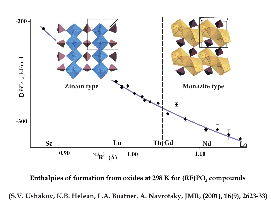

**Enthalpies of formation from oxides at 298 <sup>K</sup> for (RE)PO compounds**

(S.V. Ushakov, K.B. Helean, L.A. Boatner, A. Navrotsky, JMR, (2001), 16(9), 2623-33)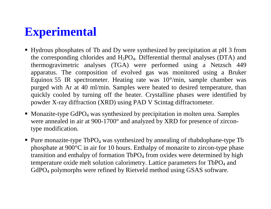# **Experimental**

- Hydrous phosphates of Tb and Dy were synthesized by precipitation at pH 3 from the corresponding chlorides and  $H_3PO_4$ . Differential thermal analyses (DTA) and thermogravimetric analyses (TGA) were performed using a Netzsch 449 apparatus. The composition of evolved gas was monitored using a Bruker Equinox 55 IR spectrometer. Heating rate was 10°/min, sample chamber was purged with Ar at 40 ml/min. Samples were heated to desired temperature, than quickly cooled by turning off the heater. Crystalline phases were identified by powder X-ray diffraction (XRD) using PAD V Scintag diffractometer.
- Monazite-type GdPO<sub>4</sub> was synthesized by precipitation in molten urea. Samples were annealed in air at 900-1700° and analyzed by XRD for presence of zircontype modification.
- **Pure monazite-type TbPO**4 was synthesized by annealing of rhabdophane-type Tb phosphate at 900°C in air for 10 hours. Enthalpy of monazite to zircon-type phase transition and enthalpy of formation  $TbPO<sub>4</sub>$  from oxides were determined by high temperature oxide melt solution calorimetry. Lattice parameters for TbPO<sub>4</sub> and GdPO4 polymorphs were refined by Rietveld method using GSAS software.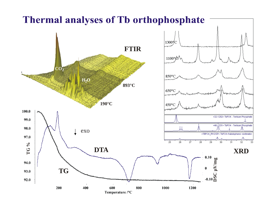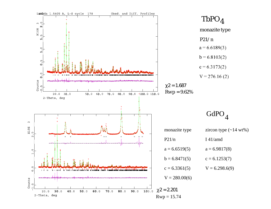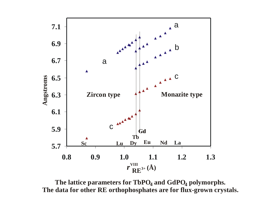

The lattice parameters for  $\mathbf{TbPO_{4}}$  and  $\mathbf{GdPO_{4}}$  polymorphs. **The data for other RE orthophosphates are for flux-grown crystals.**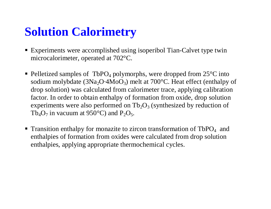# **Solution Calorimetry**

- Experiments were accomplished using isoperibol Tian-Calvet type twin microcalorimeter, operated at 702°C.
- Pelletized samples of TbPO<sub>4</sub> polymorphs, were dropped from  $25^{\circ}$ C into sodium molybdate (3Na <sup>2</sup>O·4MoO 3) melt at 700°C. Heat effect (enthalpy of drop solution) was calculated from calorimeter trace, applying calibration factor. In order to obtain enthalpy of formation from oxide, drop solution experiments were also performed on  $\text{Tb}_2\text{O}_3$  (synthesized by reduction of Tb<sub>4</sub>O<sub>7</sub> in vacuum at 950°C) and P<sub>2</sub>O<sub>5</sub>.
- **Transition enthalpy for monazite to zircon transformation of TbPO**4 and enthalpies of formation from oxides were calculated from drop solution enthalpies, applying appropriate thermochemical cycles.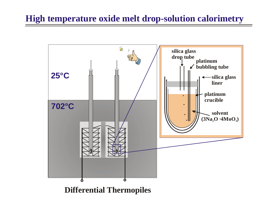### **High temperature oxide melt drop-solution calorimetry**

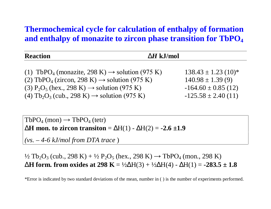### **Thermochemical cycle for calculation of enthalpy of formation and enthalpy of monazite to zircon phase transition for TbPO 4**

| <b>Reaction</b>                                                                 | $\Delta H$ kJ/mol       |
|---------------------------------------------------------------------------------|-------------------------|
|                                                                                 |                         |
| (1) TbPO <sub>4</sub> (monazite, 298 K) $\rightarrow$ solution (975 K)          | $138.43 \pm 1.23$ (10)* |
| (2) TbPO <sub>4</sub> (zircon, 298 K) $\rightarrow$ solution (975 K)            | $140.98 \pm 1.39(9)$    |
| (3) $P_2O_5$ (hex., 298 K) $\rightarrow$ solution (975 K)                       | $-164.60 \pm 0.85$ (12) |
| (4) Tb <sub>2</sub> O <sub>3</sub> (cub., 298 K) $\rightarrow$ solution (975 K) | $-125.58 \pm 2.40(11)$  |

 $TbPO_4 \text{ (mon)} \rightarrow TbPO_4 \text{ (tetr)}$ ∆**H mon. to zircon transiton** <sup>=</sup> ∆H(1) - ∆H(2) = **-2.6 ±1.9**

*(vs. – 4-6 kJ/mol from DTA trace* )

½ Tb<sub>2</sub>O<sub>3</sub> (cub., 298 K) + ½ P<sub>2</sub>O<sub>5</sub> (hex., 298 K) → TbPO<sub>4</sub> (mon., 298 K) ∆**H form. from oxides at 298 K** = ½ ∆H(3) + ½ ∆H(4) - ∆H(1) = **-283.5 ± 1.8**

\*Error is indicated by two standard deviations of the mean, number in ( ) is the number of experiments performed.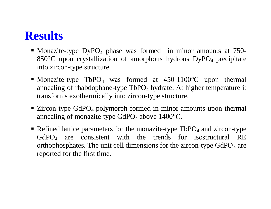### **Results**

- Monazite-type  $DypO_4$  phase was formed in minor amounts at 750-850 $\degree$ C upon crystallization of amorphous hydrous DyPO<sub>4</sub> precipitate into zircon-type structure.
- Monazite-type TbPO<sub>4</sub> was formed at 450-1100 °C upon thermal annealing of rhabdophane-type  $TbPO<sub>4</sub>$  hydrate. At higher temperature it transforms exothermically into zircon-type structure.
- $\blacksquare$  Zircon-type GdPO<sub>4</sub> polymorph formed in minor amounts upon thermal annealing of monazite-type  $GdPO<sub>4</sub>$  above 1400 $^{\circ}$ C.
- Refined lattice parameters for the monazite-type  $TbPO<sub>4</sub>$  and zircon-type GdPO4 are consistent with the trends for isostructural RE orthophosphates. The unit cell dimensions for the zircon-type  $GdPO<sub>4</sub>$  are reported for the first time.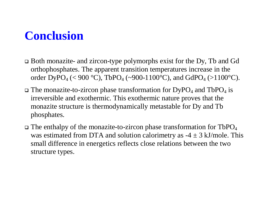## **Conclusion**

- q Both monazite- and zircon-type polymorphs exist for the Dy, Tb and Gd orthophosphates. The apparent transition temperatures increase in the order DyPO<sub>4</sub> (< 900 °C), TbPO<sub>4</sub> (~900-1100°C), and GdPO<sub>4</sub> (>1100°C).
- $\Box$  The monazite-to-zircon phase transformation for DyPO<sub>4</sub> and TbPO<sub>4</sub> is irreversible and exothermic. This exothermic nature proves that the monazite structure is thermodynamically metastable for Dy and Tb phosphates.
- $\Box$  The enthalpy of the monazite-to-zircon phase transformation for TbPO<sub>4</sub> was estimated from DTA and solution calorimetry as  $-4 \pm 3$  kJ/mole. This small difference in energetics reflects close relations between the two structure types.